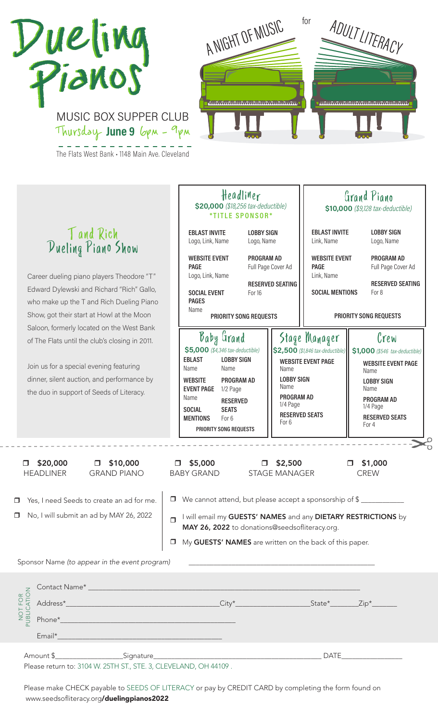## D<sup>u</sup>eling Pianos D<sup>u</sup>eling Pianos

MUSIC BOX SUPPER CLUB



A NIGHT OF MUSIC for ADULT LITERACY

www.manamanamanamana

Amount \$\_\_\_\_\_\_\_\_\_\_\_\_\_\_\_\_\_\_\_Signature\_\_\_\_\_\_\_\_\_\_\_\_\_\_\_\_\_\_\_\_\_\_\_\_\_\_\_\_\_\_\_\_\_\_\_\_\_\_\_\_\_\_\_\_\_\_\_ DATE\_\_\_\_\_\_\_\_\_\_\_\_\_\_\_\_\_

Email\*\_\_\_\_\_\_\_\_\_\_\_\_\_\_\_\_\_\_\_\_\_\_\_\_\_\_\_\_\_\_\_\_\_\_\_\_\_\_\_\_\_\_\_\_\_\_

Please return to: 3104 W. 25TH ST., STE. 3, CLEVELAND, OH 44109 .

Please make CHECK payable to SEEDS OF LITERACY or pay by CREDIT CARD by completing the form found on www.seedsofliteracy.org/duelingpianos2022